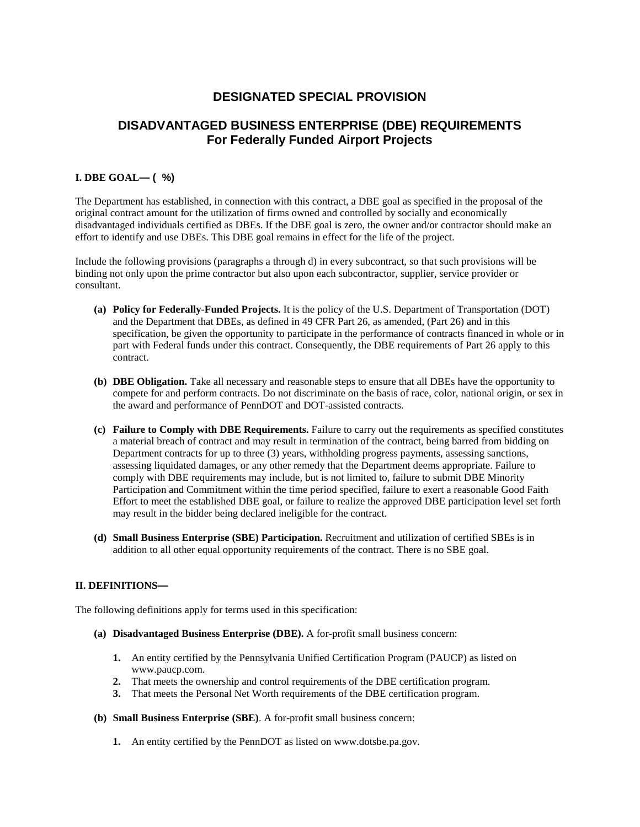# **DESIGNATED SPECIAL PROVISION**

# **DISADVANTAGED BUSINESS ENTERPRISE (DBE) REQUIREMENTS For Federally Funded Airport Projects**

## **I. DBE GOAL— ( %)**

The Department has established, in connection with this contract, a DBE goal as specified in the proposal of the original contract amount for the utilization of firms owned and controlled by socially and economically disadvantaged individuals certified as DBEs. If the DBE goal is zero, the owner and/or contractor should make an effort to identify and use DBEs. This DBE goal remains in effect for the life of the project.

Include the following provisions (paragraphs a through d) in every subcontract, so that such provisions will be binding not only upon the prime contractor but also upon each subcontractor, supplier, service provider or consultant.

- **(a) Policy for Federally-Funded Projects.** It is the policy of the U.S. Department of Transportation (DOT) and the Department that DBEs, as defined in 49 CFR Part 26, as amended, (Part 26) and in this specification, be given the opportunity to participate in the performance of contracts financed in whole or in part with Federal funds under this contract. Consequently, the DBE requirements of Part 26 apply to this contract.
- **(b) DBE Obligation.** Take all necessary and reasonable steps to ensure that all DBEs have the opportunity to compete for and perform contracts. Do not discriminate on the basis of race, color, national origin, or sex in the award and performance of PennDOT and DOT-assisted contracts.
- **(c) Failure to Comply with DBE Requirements.** Failure to carry out the requirements as specified constitutes a material breach of contract and may result in termination of the contract, being barred from bidding on Department contracts for up to three (3) years, withholding progress payments, assessing sanctions, assessing liquidated damages, or any other remedy that the Department deems appropriate. Failure to comply with DBE requirements may include, but is not limited to, failure to submit DBE Minority Participation and Commitment within the time period specified, failure to exert a reasonable Good Faith Effort to meet the established DBE goal, or failure to realize the approved DBE participation level set forth may result in the bidder being declared ineligible for the contract.
- **(d) Small Business Enterprise (SBE) Participation.** Recruitment and utilization of certified SBEs is in addition to all other equal opportunity requirements of the contract. There is no SBE goal.

## **II. DEFINITIONS—**

The following definitions apply for terms used in this specification:

- **(a) Disadvantaged Business Enterprise (DBE).** A for-profit small business concern:
	- **1.** An entity certified by the Pennsylvania Unified Certification Program (PAUCP) as listed on www.paucp.com.
	- **2.** That meets the ownership and control requirements of the DBE certification program.
	- **3.** That meets the Personal Net Worth requirements of the DBE certification program.
- **(b) Small Business Enterprise (SBE)**. A for-profit small business concern:
	- **1.** An entity certified by the PennDOT as listed on www.dotsbe.pa.gov.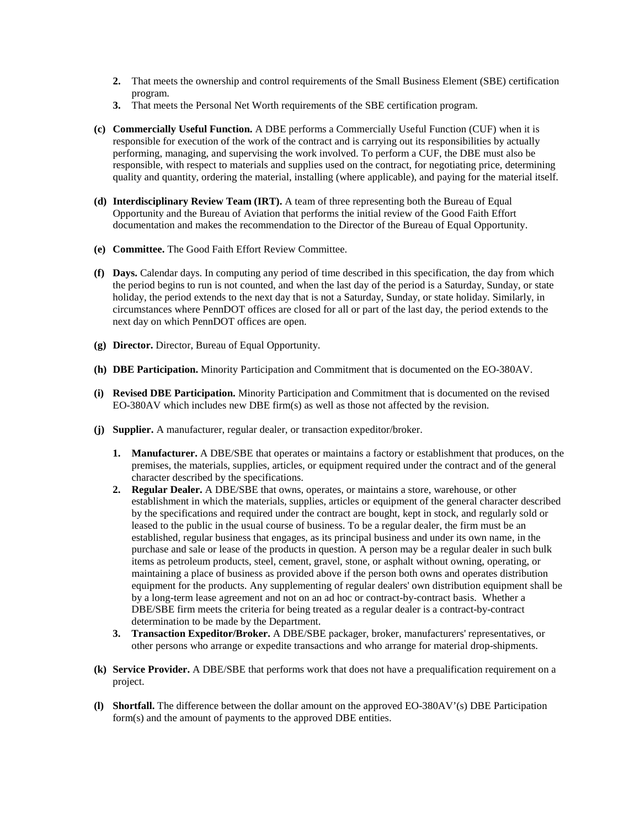- **2.** That meets the ownership and control requirements of the Small Business Element (SBE) certification program.
- **3.** That meets the Personal Net Worth requirements of the SBE certification program.
- **(c) Commercially Useful Function.** A DBE performs a Commercially Useful Function (CUF) when it is responsible for execution of the work of the contract and is carrying out its responsibilities by actually performing, managing, and supervising the work involved. To perform a CUF, the DBE must also be responsible, with respect to materials and supplies used on the contract, for negotiating price, determining quality and quantity, ordering the material, installing (where applicable), and paying for the material itself.
- **(d) Interdisciplinary Review Team (IRT).** A team of three representing both the Bureau of Equal Opportunity and the Bureau of Aviation that performs the initial review of the Good Faith Effort documentation and makes the recommendation to the Director of the Bureau of Equal Opportunity.
- **(e) Committee.** The Good Faith Effort Review Committee.
- **(f) Days.** Calendar days. In computing any period of time described in this specification, the day from which the period begins to run is not counted, and when the last day of the period is a Saturday, Sunday, or state holiday, the period extends to the next day that is not a Saturday, Sunday, or state holiday. Similarly, in circumstances where PennDOT offices are closed for all or part of the last day, the period extends to the next day on which PennDOT offices are open.
- **(g) Director.** Director, Bureau of Equal Opportunity.
- **(h) DBE Participation.** Minority Participation and Commitment that is documented on the EO-380AV.
- **(i) Revised DBE Participation.** Minority Participation and Commitment that is documented on the revised EO-380AV which includes new DBE firm(s) as well as those not affected by the revision.
- **(j) Supplier.** A manufacturer, regular dealer, or transaction expeditor/broker.
	- **1. Manufacturer.** A DBE/SBE that operates or maintains a factory or establishment that produces, on the premises, the materials, supplies, articles, or equipment required under the contract and of the general character described by the specifications.
	- **2. Regular Dealer.** A DBE/SBE that owns, operates, or maintains a store, warehouse, or other establishment in which the materials, supplies, articles or equipment of the general character described by the specifications and required under the contract are bought, kept in stock, and regularly sold or leased to the public in the usual course of business. To be a regular dealer, the firm must be an established, regular business that engages, as its principal business and under its own name, in the purchase and sale or lease of the products in question. A person may be a regular dealer in such bulk items as petroleum products, steel, cement, gravel, stone, or asphalt without owning, operating, or maintaining a place of business as provided above if the person both owns and operates distribution equipment for the products. Any supplementing of regular dealers' own distribution equipment shall be by a long-term lease agreement and not on an ad hoc or contract-by-contract basis. Whether a DBE/SBE firm meets the criteria for being treated as a regular dealer is a contract-by-contract determination to be made by the Department.
	- **3. Transaction Expeditor/Broker.** A DBE/SBE packager, broker, manufacturers' representatives, or other persons who arrange or expedite transactions and who arrange for material drop-shipments.
- **(k) Service Provider.** A DBE/SBE that performs work that does not have a prequalification requirement on a project.
- **(l) Shortfall.** The difference between the dollar amount on the approved EO-380AV'(s) DBE Participation form(s) and the amount of payments to the approved DBE entities.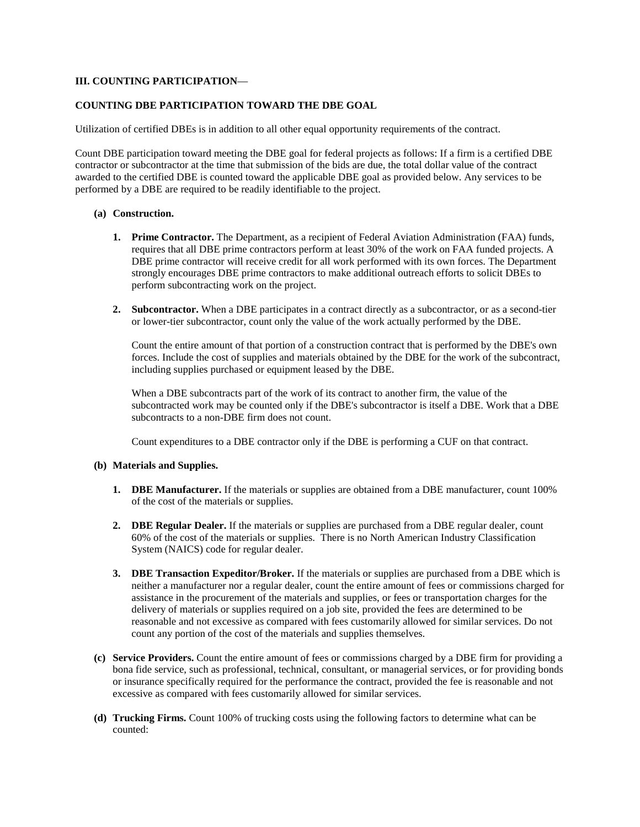### **III. COUNTING PARTICIPATION**—

### **COUNTING DBE PARTICIPATION TOWARD THE DBE GOAL**

Utilization of certified DBEs is in addition to all other equal opportunity requirements of the contract.

Count DBE participation toward meeting the DBE goal for federal projects as follows: If a firm is a certified DBE contractor or subcontractor at the time that submission of the bids are due, the total dollar value of the contract awarded to the certified DBE is counted toward the applicable DBE goal as provided below. Any services to be performed by a DBE are required to be readily identifiable to the project.

#### **(a) Construction.**

- **1. Prime Contractor.** The Department, as a recipient of Federal Aviation Administration (FAA) funds, requires that all DBE prime contractors perform at least 30% of the work on FAA funded projects. A DBE prime contractor will receive credit for all work performed with its own forces. The Department strongly encourages DBE prime contractors to make additional outreach efforts to solicit DBEs to perform subcontracting work on the project.
- **2. Subcontractor.** When a DBE participates in a contract directly as a subcontractor, or as a second-tier or lower-tier subcontractor, count only the value of the work actually performed by the DBE.

Count the entire amount of that portion of a construction contract that is performed by the DBE's own forces. Include the cost of supplies and materials obtained by the DBE for the work of the subcontract, including supplies purchased or equipment leased by the DBE.

When a DBE subcontracts part of the work of its contract to another firm, the value of the subcontracted work may be counted only if the DBE's subcontractor is itself a DBE. Work that a DBE subcontracts to a non-DBE firm does not count.

Count expenditures to a DBE contractor only if the DBE is performing a CUF on that contract.

#### **(b) Materials and Supplies.**

- **1. DBE Manufacturer.** If the materials or supplies are obtained from a DBE manufacturer, count 100% of the cost of the materials or supplies.
- **2. DBE Regular Dealer.** If the materials or supplies are purchased from a DBE regular dealer, count 60% of the cost of the materials or supplies. There is no North American Industry Classification System (NAICS) code for regular dealer.
- **3. DBE Transaction Expeditor/Broker.** If the materials or supplies are purchased from a DBE which is neither a manufacturer nor a regular dealer, count the entire amount of fees or commissions charged for assistance in the procurement of the materials and supplies, or fees or transportation charges for the delivery of materials or supplies required on a job site, provided the fees are determined to be reasonable and not excessive as compared with fees customarily allowed for similar services. Do not count any portion of the cost of the materials and supplies themselves.
- **(c) Service Providers.** Count the entire amount of fees or commissions charged by a DBE firm for providing a bona fide service, such as professional, technical, consultant, or managerial services, or for providing bonds or insurance specifically required for the performance the contract, provided the fee is reasonable and not excessive as compared with fees customarily allowed for similar services.
- **(d) Trucking Firms.** Count 100% of trucking costs using the following factors to determine what can be counted: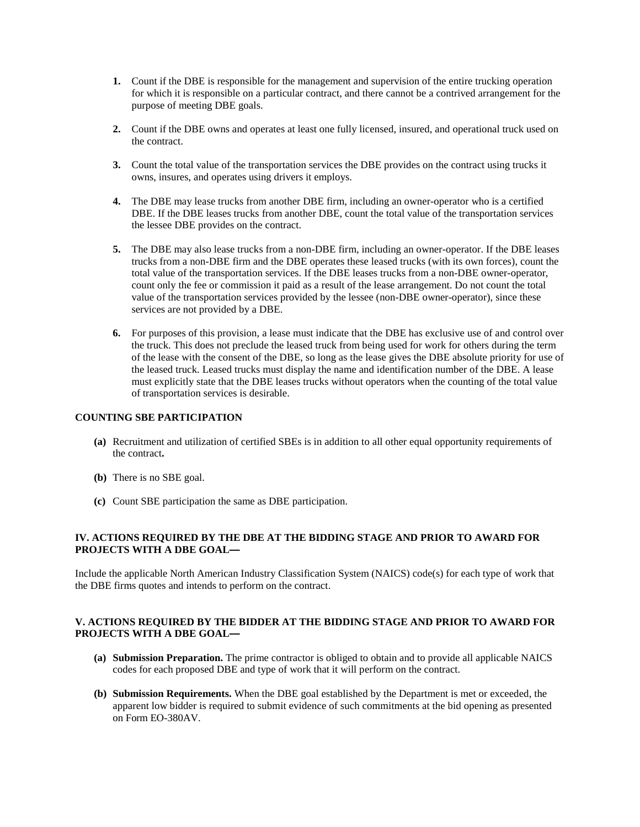- **1.** Count if the DBE is responsible for the management and supervision of the entire trucking operation for which it is responsible on a particular contract, and there cannot be a contrived arrangement for the purpose of meeting DBE goals.
- **2.** Count if the DBE owns and operates at least one fully licensed, insured, and operational truck used on the contract.
- **3.** Count the total value of the transportation services the DBE provides on the contract using trucks it owns, insures, and operates using drivers it employs.
- **4.** The DBE may lease trucks from another DBE firm, including an owner-operator who is a certified DBE. If the DBE leases trucks from another DBE, count the total value of the transportation services the lessee DBE provides on the contract.
- **5.** The DBE may also lease trucks from a non-DBE firm, including an owner-operator. If the DBE leases trucks from a non-DBE firm and the DBE operates these leased trucks (with its own forces), count the total value of the transportation services. If the DBE leases trucks from a non-DBE owner-operator, count only the fee or commission it paid as a result of the lease arrangement. Do not count the total value of the transportation services provided by the lessee (non-DBE owner-operator), since these services are not provided by a DBE.
- **6.** For purposes of this provision, a lease must indicate that the DBE has exclusive use of and control over the truck. This does not preclude the leased truck from being used for work for others during the term of the lease with the consent of the DBE, so long as the lease gives the DBE absolute priority for use of the leased truck. Leased trucks must display the name and identification number of the DBE. A lease must explicitly state that the DBE leases trucks without operators when the counting of the total value of transportation services is desirable.

#### **COUNTING SBE PARTICIPATION**

- **(a)** Recruitment and utilization of certified SBEs is in addition to all other equal opportunity requirements of the contract**.**
- **(b)** There is no SBE goal.
- **(c)** Count SBE participation the same as DBE participation.

## **IV. ACTIONS REQUIRED BY THE DBE AT THE BIDDING STAGE AND PRIOR TO AWARD FOR PROJECTS WITH A DBE GOAL—**

Include the applicable North American Industry Classification System (NAICS) code(s) for each type of work that the DBE firms quotes and intends to perform on the contract.

## **V. ACTIONS REQUIRED BY THE BIDDER AT THE BIDDING STAGE AND PRIOR TO AWARD FOR PROJECTS WITH A DBE GOAL—**

- **(a) Submission Preparation.** The prime contractor is obliged to obtain and to provide all applicable NAICS codes for each proposed DBE and type of work that it will perform on the contract.
- **(b) Submission Requirements.** When the DBE goal established by the Department is met or exceeded, the apparent low bidder is required to submit evidence of such commitments at the bid opening as presented on Form EO-380AV.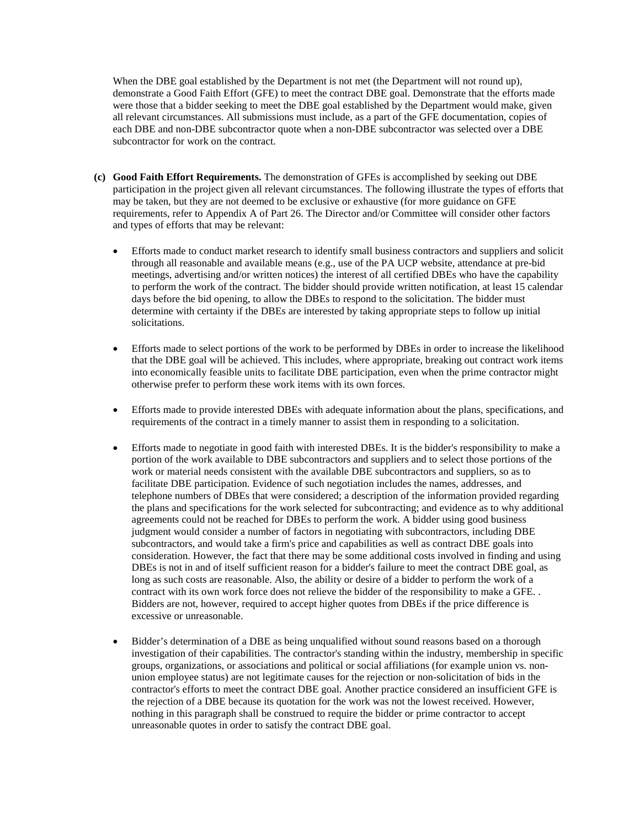When the DBE goal established by the Department is not met (the Department will not round up), demonstrate a Good Faith Effort (GFE) to meet the contract DBE goal. Demonstrate that the efforts made were those that a bidder seeking to meet the DBE goal established by the Department would make, given all relevant circumstances. All submissions must include, as a part of the GFE documentation, copies of each DBE and non-DBE subcontractor quote when a non-DBE subcontractor was selected over a DBE subcontractor for work on the contract.

- **(c) Good Faith Effort Requirements.** The demonstration of GFEs is accomplished by seeking out DBE participation in the project given all relevant circumstances. The following illustrate the types of efforts that may be taken, but they are not deemed to be exclusive or exhaustive (for more guidance on GFE requirements, refer to Appendix A of Part 26. The Director and/or Committee will consider other factors and types of efforts that may be relevant:
	- Efforts made to conduct market research to identify small business contractors and suppliers and solicit through all reasonable and available means (e.g., use of the PA UCP website, attendance at pre-bid meetings, advertising and/or written notices) the interest of all certified DBEs who have the capability to perform the work of the contract. The bidder should provide written notification, at least 15 calendar days before the bid opening, to allow the DBEs to respond to the solicitation. The bidder must determine with certainty if the DBEs are interested by taking appropriate steps to follow up initial solicitations.
	- Efforts made to select portions of the work to be performed by DBEs in order to increase the likelihood that the DBE goal will be achieved. This includes, where appropriate, breaking out contract work items into economically feasible units to facilitate DBE participation, even when the prime contractor might otherwise prefer to perform these work items with its own forces.
	- Efforts made to provide interested DBEs with adequate information about the plans, specifications, and requirements of the contract in a timely manner to assist them in responding to a solicitation.
	- Efforts made to negotiate in good faith with interested DBEs. It is the bidder's responsibility to make a portion of the work available to DBE subcontractors and suppliers and to select those portions of the work or material needs consistent with the available DBE subcontractors and suppliers, so as to facilitate DBE participation. Evidence of such negotiation includes the names, addresses, and telephone numbers of DBEs that were considered; a description of the information provided regarding the plans and specifications for the work selected for subcontracting; and evidence as to why additional agreements could not be reached for DBEs to perform the work. A bidder using good business judgment would consider a number of factors in negotiating with subcontractors, including DBE subcontractors, and would take a firm's price and capabilities as well as contract DBE goals into consideration. However, the fact that there may be some additional costs involved in finding and using DBEs is not in and of itself sufficient reason for a bidder's failure to meet the contract DBE goal, as long as such costs are reasonable. Also, the ability or desire of a bidder to perform the work of a contract with its own work force does not relieve the bidder of the responsibility to make a GFE. . Bidders are not, however, required to accept higher quotes from DBEs if the price difference is excessive or unreasonable.
	- Bidder's determination of a DBE as being unqualified without sound reasons based on a thorough investigation of their capabilities. The contractor's standing within the industry, membership in specific groups, organizations, or associations and political or social affiliations (for example union vs. nonunion employee status) are not legitimate causes for the rejection or non-solicitation of bids in the contractor's efforts to meet the contract DBE goal. Another practice considered an insufficient GFE is the rejection of a DBE because its quotation for the work was not the lowest received. However, nothing in this paragraph shall be construed to require the bidder or prime contractor to accept unreasonable quotes in order to satisfy the contract DBE goal.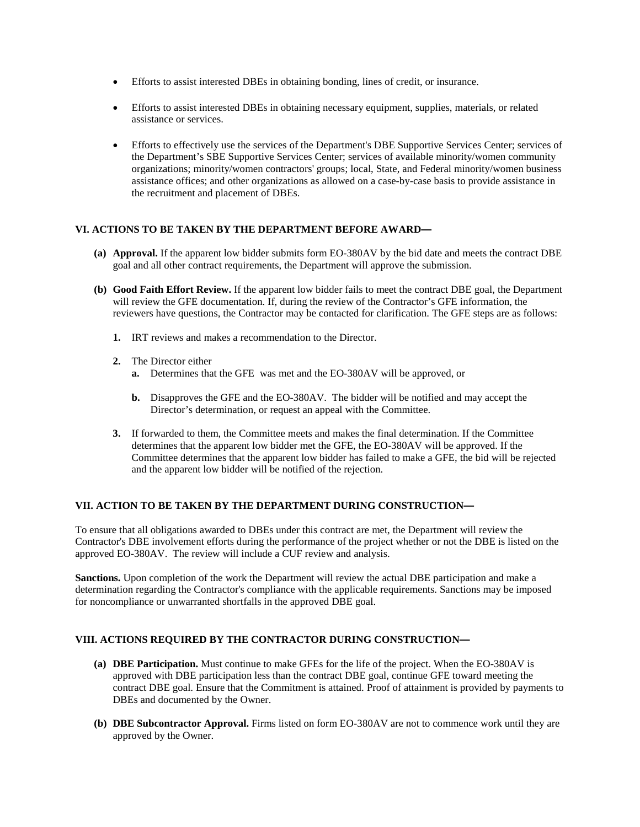- Efforts to assist interested DBEs in obtaining bonding, lines of credit, or insurance.
- Efforts to assist interested DBEs in obtaining necessary equipment, supplies, materials, or related assistance or services.
- Efforts to effectively use the services of the Department's DBE Supportive Services Center; services of the Department's SBE Supportive Services Center; services of available minority/women community organizations; minority/women contractors' groups; local, State, and Federal minority/women business assistance offices; and other organizations as allowed on a case-by-case basis to provide assistance in the recruitment and placement of DBEs.

## **VI. ACTIONS TO BE TAKEN BY THE DEPARTMENT BEFORE AWARD—**

- **(a) Approval.** If the apparent low bidder submits form EO-380AV by the bid date and meets the contract DBE goal and all other contract requirements, the Department will approve the submission.
- **(b) Good Faith Effort Review.** If the apparent low bidder fails to meet the contract DBE goal, the Department will review the GFE documentation. If, during the review of the Contractor's GFE information, the reviewers have questions, the Contractor may be contacted for clarification. The GFE steps are as follows:
	- **1.** IRT reviews and makes a recommendation to the Director.
	- **2.** The Director either
		- **a.** Determines that the GFE was met and the EO-380AV will be approved, or
		- **b.** Disapproves the GFE and the EO-380AV. The bidder will be notified and may accept the Director's determination, or request an appeal with the Committee.
	- **3.** If forwarded to them, the Committee meets and makes the final determination. If the Committee determines that the apparent low bidder met the GFE, the EO-380AV will be approved. If the Committee determines that the apparent low bidder has failed to make a GFE, the bid will be rejected and the apparent low bidder will be notified of the rejection.

## **VII. ACTION TO BE TAKEN BY THE DEPARTMENT DURING CONSTRUCTION—**

To ensure that all obligations awarded to DBEs under this contract are met, the Department will review the Contractor's DBE involvement efforts during the performance of the project whether or not the DBE is listed on the approved EO-380AV. The review will include a CUF review and analysis.

**Sanctions.** Upon completion of the work the Department will review the actual DBE participation and make a determination regarding the Contractor's compliance with the applicable requirements. Sanctions may be imposed for noncompliance or unwarranted shortfalls in the approved DBE goal.

## **VIII. ACTIONS REQUIRED BY THE CONTRACTOR DURING CONSTRUCTION—**

- **(a) DBE Participation.** Must continue to make GFEs for the life of the project. When the EO-380AV is approved with DBE participation less than the contract DBE goal, continue GFE toward meeting the contract DBE goal. Ensure that the Commitment is attained. Proof of attainment is provided by payments to DBEs and documented by the Owner.
- **(b) DBE Subcontractor Approval.** Firms listed on form EO-380AV are not to commence work until they are approved by the Owner.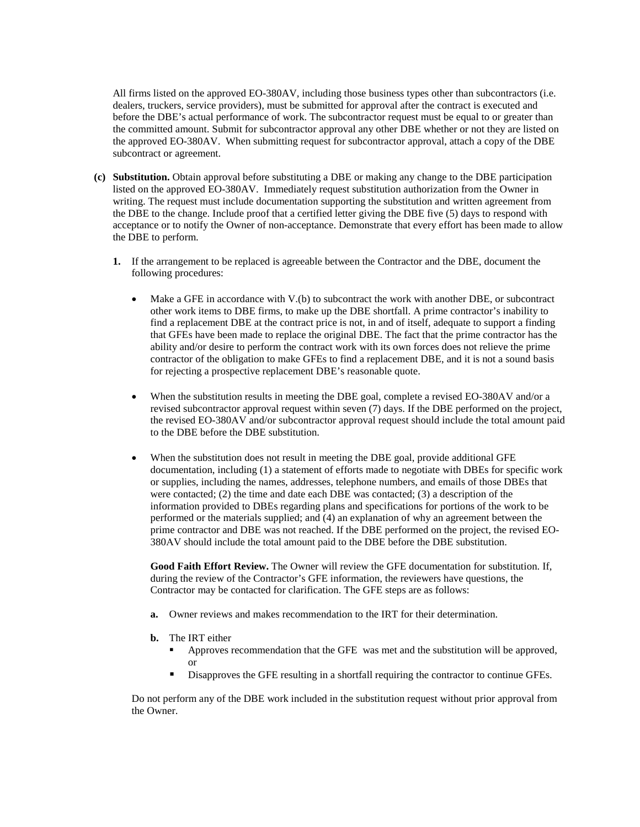All firms listed on the approved EO-380AV, including those business types other than subcontractors (i.e. dealers, truckers, service providers), must be submitted for approval after the contract is executed and before the DBE's actual performance of work. The subcontractor request must be equal to or greater than the committed amount. Submit for subcontractor approval any other DBE whether or not they are listed on the approved EO-380AV. When submitting request for subcontractor approval, attach a copy of the DBE subcontract or agreement.

- **(c) Substitution.** Obtain approval before substituting a DBE or making any change to the DBE participation listed on the approved EO-380AV. Immediately request substitution authorization from the Owner in writing. The request must include documentation supporting the substitution and written agreement from the DBE to the change. Include proof that a certified letter giving the DBE five (5) days to respond with acceptance or to notify the Owner of non-acceptance. Demonstrate that every effort has been made to allow the DBE to perform.
	- **1.** If the arrangement to be replaced is agreeable between the Contractor and the DBE, document the following procedures:
		- Make a GFE in accordance with V.(b) to subcontract the work with another DBE, or subcontract other work items to DBE firms, to make up the DBE shortfall. A prime contractor's inability to find a replacement DBE at the contract price is not, in and of itself, adequate to support a finding that GFEs have been made to replace the original DBE. The fact that the prime contractor has the ability and/or desire to perform the contract work with its own forces does not relieve the prime contractor of the obligation to make GFEs to find a replacement DBE, and it is not a sound basis for rejecting a prospective replacement DBE's reasonable quote.
		- When the substitution results in meeting the DBE goal, complete a revised EO-380AV and/or a revised subcontractor approval request within seven (7) days. If the DBE performed on the project, the revised EO-380AV and/or subcontractor approval request should include the total amount paid to the DBE before the DBE substitution.
		- When the substitution does not result in meeting the DBE goal, provide additional GFE documentation, including (1) a statement of efforts made to negotiate with DBEs for specific work or supplies, including the names, addresses, telephone numbers, and emails of those DBEs that were contacted; (2) the time and date each DBE was contacted; (3) a description of the information provided to DBEs regarding plans and specifications for portions of the work to be performed or the materials supplied; and (4) an explanation of why an agreement between the prime contractor and DBE was not reached. If the DBE performed on the project, the revised EO-380AV should include the total amount paid to the DBE before the DBE substitution.

**Good Faith Effort Review.** The Owner will review the GFE documentation for substitution. If, during the review of the Contractor's GFE information, the reviewers have questions, the Contractor may be contacted for clarification. The GFE steps are as follows:

- **a.** Owner reviews and makes recommendation to the IRT for their determination.
- **b.** The IRT either
	- Approves recommendation that the GFE was met and the substitution will be approved, or
	- Disapproves the GFE resulting in a shortfall requiring the contractor to continue GFEs.

Do not perform any of the DBE work included in the substitution request without prior approval from the Owner.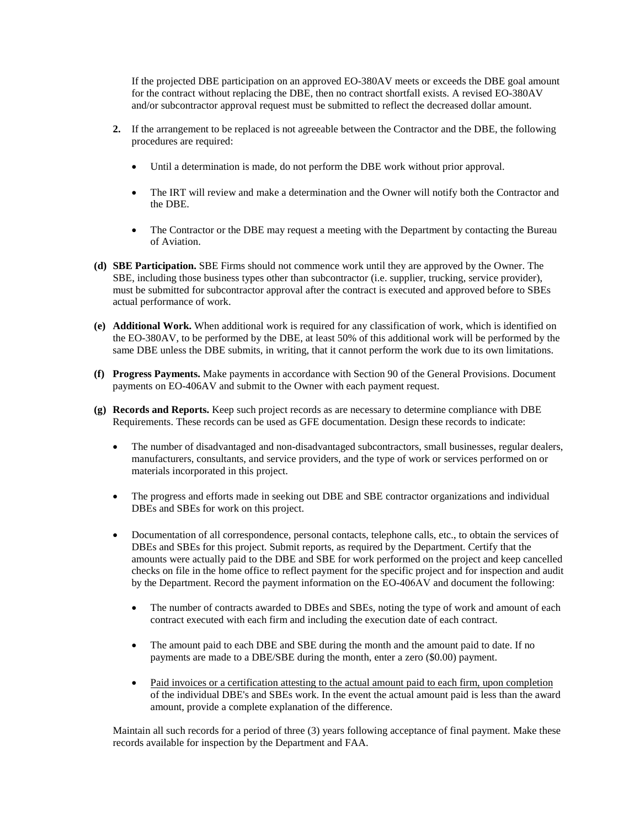If the projected DBE participation on an approved EO-380AV meets or exceeds the DBE goal amount for the contract without replacing the DBE, then no contract shortfall exists. A revised EO-380AV and/or subcontractor approval request must be submitted to reflect the decreased dollar amount.

- **2.** If the arrangement to be replaced is not agreeable between the Contractor and the DBE, the following procedures are required:
	- Until a determination is made, do not perform the DBE work without prior approval.
	- The IRT will review and make a determination and the Owner will notify both the Contractor and the DBE.
	- The Contractor or the DBE may request a meeting with the Department by contacting the Bureau of Aviation.
- **(d) SBE Participation.** SBE Firms should not commence work until they are approved by the Owner. The SBE, including those business types other than subcontractor (i.e. supplier, trucking, service provider), must be submitted for subcontractor approval after the contract is executed and approved before to SBEs actual performance of work.
- **(e) Additional Work.** When additional work is required for any classification of work, which is identified on the EO-380AV, to be performed by the DBE, at least 50% of this additional work will be performed by the same DBE unless the DBE submits, in writing, that it cannot perform the work due to its own limitations.
- **(f) Progress Payments.** Make payments in accordance with Section 90 of the General Provisions. Document payments on EO-406AV and submit to the Owner with each payment request.
- **(g) Records and Reports.** Keep such project records as are necessary to determine compliance with DBE Requirements. These records can be used as GFE documentation. Design these records to indicate:
	- The number of disadvantaged and non-disadvantaged subcontractors, small businesses, regular dealers, manufacturers, consultants, and service providers, and the type of work or services performed on or materials incorporated in this project.
	- The progress and efforts made in seeking out DBE and SBE contractor organizations and individual DBEs and SBEs for work on this project.
	- Documentation of all correspondence, personal contacts, telephone calls, etc., to obtain the services of DBEs and SBEs for this project. Submit reports, as required by the Department. Certify that the amounts were actually paid to the DBE and SBE for work performed on the project and keep cancelled checks on file in the home office to reflect payment for the specific project and for inspection and audit by the Department. Record the payment information on the EO-406AV and document the following:
		- The number of contracts awarded to DBEs and SBEs, noting the type of work and amount of each contract executed with each firm and including the execution date of each contract.
		- The amount paid to each DBE and SBE during the month and the amount paid to date. If no payments are made to a DBE/SBE during the month, enter a zero (\$0.00) payment.
		- Paid invoices or a certification attesting to the actual amount paid to each firm, upon completion of the individual DBE's and SBEs work. In the event the actual amount paid is less than the award amount, provide a complete explanation of the difference.

Maintain all such records for a period of three (3) years following acceptance of final payment. Make these records available for inspection by the Department and FAA.